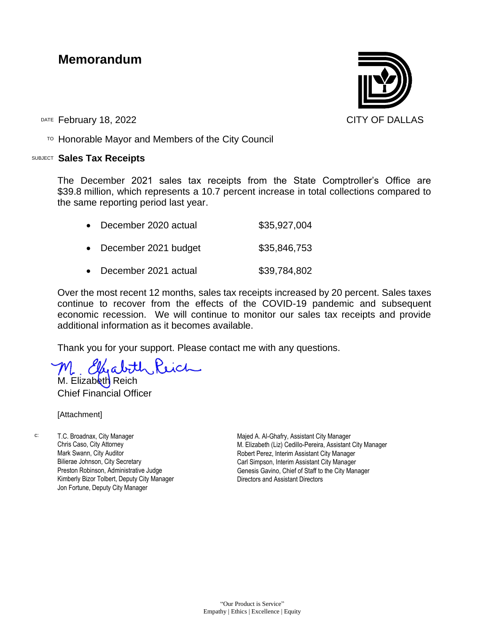## **Memorandum**

DATE February 18, 2022 **CITY OF DALLAS** 

 $T$ <sup>O</sup> Honorable Mayor and Members of the City Council

## SUBJECT **Sales Tax Receipts**

The December 2021 sales tax receipts from the State Comptroller's Office are \$39.8 million, which represents a 10.7 percent increase in total collections compared to the same reporting period last year.

| • December 2020 actual | \$35,927,004 |
|------------------------|--------------|
| • December 2021 budget | \$35,846,753 |

• December 2021 actual \$39,784,802

Over the most recent 12 months, sales tax receipts increased by 20 percent. Sales taxes continue to recover from the effects of the COVID-19 pandemic and subsequent economic recession. We will continue to monitor our sales tax receipts and provide additional information as it becomes available.

Thank you for your support. Please contact me with any questions.

M. Elfabith Reich M. Elizabeth Reich

Chief Financial Officer

[Attachment]

c: T.C. Broadnax, City Manager Chris Caso, City Attorney Mark Swann, City Auditor Bilierae Johnson, City Secretary Preston Robinson, Administrative Judge Kimberly Bizor Tolbert, Deputy City Manager Jon Fortune, Deputy City Manager

Majed A. Al-Ghafry, Assistant City Manager M. Elizabeth (Liz) Cedillo-Pereira, Assistant City Manager Robert Perez, Interim Assistant City Manager Carl Simpson, Interim Assistant City Manager Genesis Gavino, Chief of Staff to the City Manager Directors and Assistant Directors